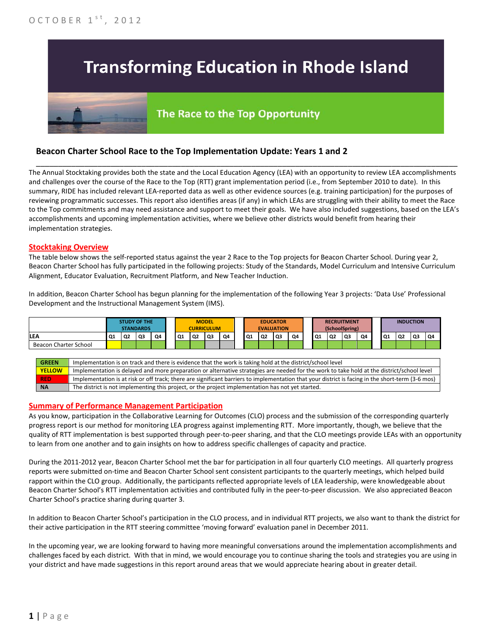# **Transforming Education in Rhode Island**

# The Race to the Top Opportunity

## **Beacon Charter School Race to the Top Implementation Update: Years 1 and 2**

The Annual Stocktaking provides both the state and the Local Education Agency (LEA) with an opportunity to review LEA accomplishments and challenges over the course of the Race to the Top (RTT) grant implementation period (i.e., from September 2010 to date). In this summary, RIDE has included relevant LEA-reported data as well as other evidence sources (e.g. training participation) for the purposes of reviewing programmatic successes. This report also identifies areas (if any) in which LEAs are struggling with their ability to meet the Race to the Top commitments and may need assistance and support to meet their goals. We have also included suggestions, based on the LEA's accomplishments and upcoming implementation activities, where we believe other districts would benefit from hearing their implementation strategies.

\_\_\_\_\_\_\_\_\_\_\_\_\_\_\_\_\_\_\_\_\_\_\_\_\_\_\_\_\_\_\_\_\_\_\_\_\_\_\_\_\_\_\_\_\_\_\_\_\_\_\_\_\_\_\_\_\_\_\_\_\_\_\_\_\_\_\_\_\_\_\_\_\_\_\_\_\_\_\_\_\_\_\_\_\_\_\_\_\_\_\_\_\_\_\_\_

#### **Stocktaking Overview**

The table below shows the self-reported status against the year 2 Race to the Top projects for Beacon Charter School. During year 2, Beacon Charter School has fully participated in the following projects: Study of the Standards, Model Curriculum and Intensive Curriculum Alignment, Educator Evaluation, Recruitment Platform, and New Teacher Induction.

In addition, Beacon Charter School has begun planning for the implementation of the following Year 3 projects: 'Data Use' Professional Development and the Instructional Management System (IMS).



#### **Summary of Performance Management Participation**

As you know, participation in the Collaborative Learning for Outcomes (CLO) process and the submission of the corresponding quarterly progress report is our method for monitoring LEA progress against implementing RTT. More importantly, though, we believe that the quality of RTT implementation is best supported through peer-to-peer sharing, and that the CLO meetings provide LEAs with an opportunity to learn from one another and to gain insights on how to address specific challenges of capacity and practice.

During the 2011-2012 year, Beacon Charter School met the bar for participation in all four quarterly CLO meetings. All quarterly progress reports were submitted on-time and Beacon Charter School sent consistent participants to the quarterly meetings, which helped build rapport within the CLO group. Additionally, the participants reflected appropriate levels of LEA leadership, were knowledgeable about Beacon Charter School's RTT implementation activities and contributed fully in the peer-to-peer discussion. We also appreciated Beacon Charter School's practice sharing during quarter 3.

In addition to Beacon Charter School's participation in the CLO process, and in individual RTT projects, we also want to thank the district for their active participation in the RTT steering committee 'moving forward' evaluation panel in December 2011.

In the upcoming year, we are looking forward to having more meaningful conversations around the implementation accomplishments and challenges faced by each district. With that in mind, we would encourage you to continue sharing the tools and strategies you are using in your district and have made suggestions in this report around areas that we would appreciate hearing about in greater detail.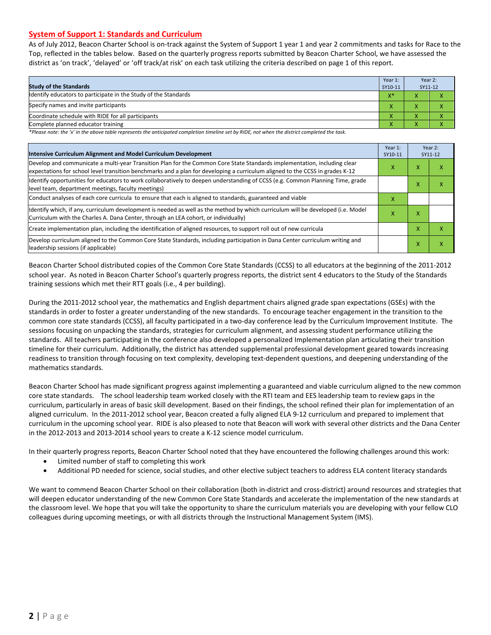#### **System of Support 1: Standards and Curriculum**

As of July 2012, Beacon Charter School is on-track against the System of Support 1 year 1 and year 2 commitments and tasks for Race to the Top, reflected in the tables below. Based on the quarterly progress reports submitted by Beacon Charter School, we have assessed the district as 'on track', 'delayed' or 'off track/at risk' on each task utilizing the criteria described on page 1 of this report.

| <b>Study of the Standards</b>                                   | Year 1:<br>SY10-11 | Year 2:<br>SY11-12 |  |
|-----------------------------------------------------------------|--------------------|--------------------|--|
| Identify educators to participate in the Study of the Standards | $X^*$              |                    |  |
| Specify names and invite participants                           |                    |                    |  |
| Coordinate schedule with RIDE for all participants              | ∧                  |                    |  |
| Complete planned educator training                              | ∧                  |                    |  |

*\*Please note: the 'x' in the above table represents the anticipated completion timeline set by RIDE, not when the district completed the task.*

| Intensive Curriculum Alignment and Model Curriculum Development                                                                                                                                                                                           |   |   | Year 2:<br>SY11-12 |  |
|-----------------------------------------------------------------------------------------------------------------------------------------------------------------------------------------------------------------------------------------------------------|---|---|--------------------|--|
| Develop and communicate a multi-year Transition Plan for the Common Core State Standards implementation, including clear<br>expectations for school level transition benchmarks and a plan for developing a curriculum aligned to the CCSS in grades K-12 |   | X | x                  |  |
| Identify opportunities for educators to work collaboratively to deepen understanding of CCSS (e.g. Common Planning Time, grade<br>level team, department meetings, faculty meetings)                                                                      |   | x | x                  |  |
| Conduct analyses of each core curricula to ensure that each is aligned to standards, guaranteed and viable                                                                                                                                                | x |   |                    |  |
| ldentify which, if any, curriculum development is needed as well as the method by which curriculum will be developed (i.e. Model<br>Curriculum with the Charles A. Dana Center, through an LEA cohort, or individually)                                   | A | x |                    |  |
| Create implementation plan, including the identification of aligned resources, to support roll out of new curricula                                                                                                                                       |   |   | x                  |  |
| Develop curriculum aligned to the Common Core State Standards, including participation in Dana Center curriculum writing and<br>leadership sessions (if applicable)                                                                                       |   | x | x                  |  |

Beacon Charter School distributed copies of the Common Core State Standards (CCSS) to all educators at the beginning of the 2011-2012 school year. As noted in Beacon Charter School's quarterly progress reports, the district sent 4 educators to the Study of the Standards training sessions which met their RTT goals (i.e., 4 per building).

During the 2011-2012 school year, the mathematics and English department chairs aligned grade span expectations (GSEs) with the standards in order to foster a greater understanding of the new standards. To encourage teacher engagement in the transition to the common core state standards (CCSS), all faculty participated in a two-day conference lead by the Curriculum Improvement Institute. The sessions focusing on unpacking the standards, strategies for curriculum alignment, and assessing student performance utilizing the standards. All teachers participating in the conference also developed a personalized Implementation plan articulating their transition timeline for their curriculum. Additionally, the district has attended supplemental professional development geared towards increasing readiness to transition through focusing on text complexity, developing text-dependent questions, and deepening understanding of the mathematics standards.

Beacon Charter School has made significant progress against implementing a guaranteed and viable curriculum aligned to the new common core state standards. The school leadership team worked closely with the RTI team and EES leadership team to review gaps in the curriculum, particularly in areas of basic skill development. Based on their findings, the school refined their plan for implementation of an aligned curriculum. In the 2011-2012 school year, Beacon created a fully aligned ELA 9-12 curriculum and prepared to implement that curriculum in the upcoming school year. RIDE is also pleased to note that Beacon will work with several other districts and the Dana Center in the 2012-2013 and 2013-2014 school years to create a K-12 science model curriculum.

In their quarterly progress reports, Beacon Charter School noted that they have encountered the following challenges around this work:

- Limited number of staff to completing this work
- Additional PD needed for science, social studies, and other elective subject teachers to address ELA content literacy standards

We want to commend Beacon Charter School on their collaboration (both in-district and cross-district) around resources and strategies that will deepen educator understanding of the new Common Core State Standards and accelerate the implementation of the new standards at the classroom level. We hope that you will take the opportunity to share the curriculum materials you are developing with your fellow CLO colleagues during upcoming meetings, or with all districts through the Instructional Management System (IMS).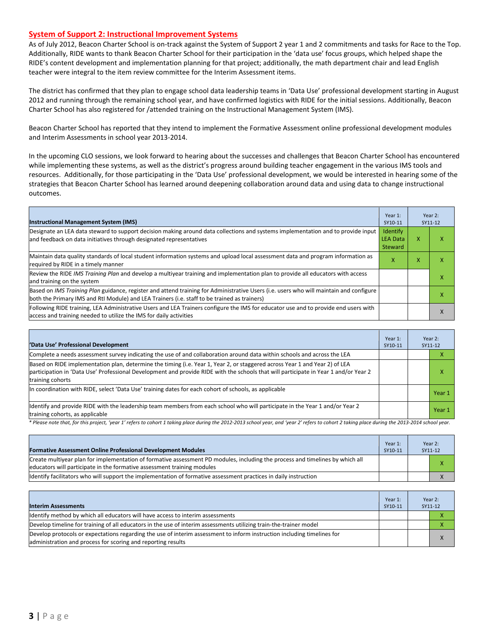#### **System of Support 2: Instructional Improvement Systems**

As of July 2012, Beacon Charter School is on-track against the System of Support 2 year 1 and 2 commitments and tasks for Race to the Top. Additionally, RIDE wants to thank Beacon Charter School for their participation in the 'data use' focus groups, which helped shape the RIDE's content development and implementation planning for that project; additionally, the math department chair and lead English teacher were integral to the item review committee for the Interim Assessment items.

The district has confirmed that they plan to engage school data leadership teams in 'Data Use' professional development starting in August 2012 and running through the remaining school year, and have confirmed logistics with RIDE for the initial sessions. Additionally, Beacon Charter School has also registered for /attended training on the Instructional Management System (IMS).

Beacon Charter School has reported that they intend to implement the Formative Assessment online professional development modules and Interim Assessments in school year 2013-2014.

In the upcoming CLO sessions, we look forward to hearing about the successes and challenges that Beacon Charter School has encountered while implementing these systems, as well as the district's progress around building teacher engagement in the various IMS tools and resources. Additionally, for those participating in the 'Data Use' professional development, we would be interested in hearing some of the strategies that Beacon Charter School has learned around deepening collaboration around data and using data to change instructional outcomes.

| <b>Instructional Management System (IMS)</b>                                                                                                                                                                                           | Year 1:<br>SY10-11                     |   | Year 2:<br>SY11-12 |
|----------------------------------------------------------------------------------------------------------------------------------------------------------------------------------------------------------------------------------------|----------------------------------------|---|--------------------|
| Designate an LEA data steward to support decision making around data collections and systems implementation and to provide input<br>and feedback on data initiatives through designated representatives                                | Identify<br><b>LEA Data</b><br>Steward | x |                    |
| Maintain data quality standards of local student information systems and upload local assessment data and program information as<br>required by RIDE in a timely manner                                                                | x                                      | x |                    |
| Review the RIDE IMS Training Plan and develop a multiyear training and implementation plan to provide all educators with access<br>and training on the system                                                                          |                                        |   |                    |
| Based on IMS Training Plan guidance, register and attend training for Administrative Users (i.e. users who will maintain and configure<br>both the Primary IMS and RtI Module) and LEA Trainers (i.e. staff to be trained as trainers) |                                        |   |                    |
| Following RIDE training, LEA Administrative Users and LEA Trainers configure the IMS for educator use and to provide end users with<br>access and training needed to utilize the IMS for daily activities                              |                                        |   | л                  |

| 'Data Use' Professional Development                                                                                                                                                                                                                                                     | Year 1:<br>SY10-11 | Year 2:<br>SY11-12 |        |
|-----------------------------------------------------------------------------------------------------------------------------------------------------------------------------------------------------------------------------------------------------------------------------------------|--------------------|--------------------|--------|
| Complete a needs assessment survey indicating the use of and collaboration around data within schools and across the LEA                                                                                                                                                                |                    |                    |        |
| Based on RIDE implementation plan, determine the timing (i.e. Year 1, Year 2, or staggered across Year 1 and Year 2) of LEA<br>participation in 'Data Use' Professional Development and provide RIDE with the schools that will participate in Year 1 and/or Year 2<br>training cohorts |                    |                    | ⋏      |
| In coordination with RIDE, select 'Data Use' training dates for each cohort of schools, as applicable                                                                                                                                                                                   |                    |                    | Year 1 |
| lldentify and provide RIDE with the leadership team members from each school who will participate in the Year 1 and/or Year 2<br>training cohorts, as applicable                                                                                                                        |                    |                    | Year 1 |

*\* Please note that, for this project, 'year 1' refers to cohort 1 taking place during the 2012-2013 school year, and 'year 2' refers to cohort 2 taking place during the 2013-2014 school year.*

| <b>Formative Assessment Online Professional Development Modules</b>                                                                                                                                      | Year 1:<br>SY10-11 | Year 2:<br>SY11-12 |
|----------------------------------------------------------------------------------------------------------------------------------------------------------------------------------------------------------|--------------------|--------------------|
| Create multivear plan for implementation of formative assessment PD modules, including the process and timelines by which all<br>educators will participate in the formative assessment training modules |                    | x                  |
| ldentify facilitators who will support the implementation of formative assessment practices in daily instruction                                                                                         |                    |                    |

| <b>Interim Assessments</b>                                                                                                                                                              | Year 1:<br>SY10-11 | Year 2:<br>SY11-12 |
|-----------------------------------------------------------------------------------------------------------------------------------------------------------------------------------------|--------------------|--------------------|
| Identify method by which all educators will have access to interim assessments                                                                                                          |                    |                    |
| Develop timeline for training of all educators in the use of interim assessments utilizing train-the-trainer model                                                                      |                    |                    |
| Develop protocols or expectations regarding the use of interim assessment to inform instruction including timelines for<br>administration and process for scoring and reporting results |                    | $\sqrt{ }$         |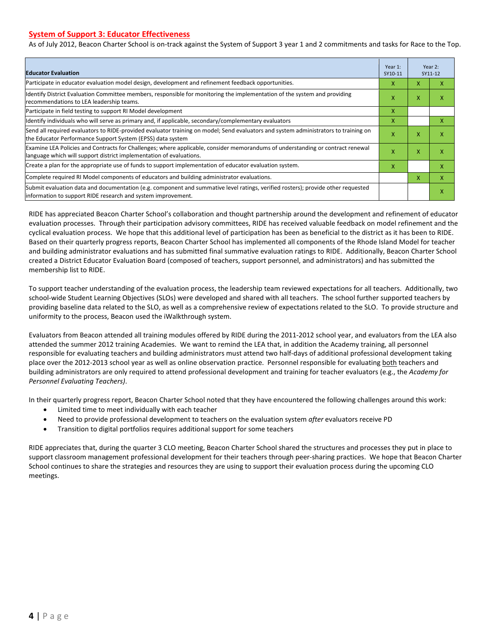#### **System of Support 3: Educator Effectiveness**

As of July 2012, Beacon Charter School is on-track against the System of Support 3 year 1 and 2 commitments and tasks for Race to the Top.

| <b>Educator Evaluation</b>                                                                                                                                                                            |   |   | Year 2:<br>SY11-12 |  |
|-------------------------------------------------------------------------------------------------------------------------------------------------------------------------------------------------------|---|---|--------------------|--|
| Participate in educator evaluation model design, development and refinement feedback opportunities.                                                                                                   | x | X | x                  |  |
| Identify District Evaluation Committee members, responsible for monitoring the implementation of the system and providing<br>recommendations to LEA leadership teams.                                 | x | X | x                  |  |
| Participate in field testing to support RI Model development                                                                                                                                          | x |   |                    |  |
| ldentify individuals who will serve as primary and, if applicable, secondary/complementary evaluators                                                                                                 | x |   | X                  |  |
| Send all required evaluators to RIDE-provided evaluator training on model; Send evaluators and system administrators to training on<br>the Educator Performance Support System (EPSS) data system     | X | X | x                  |  |
| Examine LEA Policies and Contracts for Challenges; where applicable, consider memorandums of understanding or contract renewal<br>language which will support district implementation of evaluations. | X | X | x                  |  |
| Create a plan for the appropriate use of funds to support implementation of educator evaluation system.                                                                                               | x |   | X                  |  |
| Complete required RI Model components of educators and building administrator evaluations.                                                                                                            |   |   | X                  |  |
| Submit evaluation data and documentation (e.g. component and summative level ratings, verified rosters); provide other requested<br>linformation to support RIDE research and system improvement.     |   |   | x                  |  |

RIDE has appreciated Beacon Charter School's collaboration and thought partnership around the development and refinement of educator evaluation processes. Through their participation advisory committees, RIDE has received valuable feedback on model refinement and the cyclical evaluation process. We hope that this additional level of participation has been as beneficial to the district as it has been to RIDE. Based on their quarterly progress reports, Beacon Charter School has implemented all components of the Rhode Island Model for teacher and building administrator evaluations and has submitted final summative evaluation ratings to RIDE. Additionally, Beacon Charter School created a District Educator Evaluation Board (composed of teachers, support personnel, and administrators) and has submitted the membership list to RIDE.

To support teacher understanding of the evaluation process, the leadership team reviewed expectations for all teachers. Additionally, two school-wide Student Learning Objectives (SLOs) were developed and shared with all teachers. The school further supported teachers by providing baseline data related to the SLO, as well as a comprehensive review of expectations related to the SLO. To provide structure and uniformity to the process, Beacon used the iWalkthrough system.

Evaluators from Beacon attended all training modules offered by RIDE during the 2011-2012 school year, and evaluators from the LEA also attended the summer 2012 training Academies. We want to remind the LEA that, in addition the Academy training, all personnel responsible for evaluating teachers and building administrators must attend two half-days of additional professional development taking place over the 2012-2013 school year as well as online observation practice. Personnel responsible for evaluating both teachers and building administrators are only required to attend professional development and training for teacher evaluators (e.g., the *Academy for Personnel Evaluating Teachers)*.

In their quarterly progress report, Beacon Charter School noted that they have encountered the following challenges around this work:

- Limited time to meet individually with each teacher
- Need to provide professional development to teachers on the evaluation system *after* evaluators receive PD
- Transition to digital portfolios requires additional support for some teachers

RIDE appreciates that, during the quarter 3 CLO meeting, Beacon Charter School shared the structures and processes they put in place to support classroom management professional development for their teachers through peer-sharing practices. We hope that Beacon Charter School continues to share the strategies and resources they are using to support their evaluation process during the upcoming CLO meetings.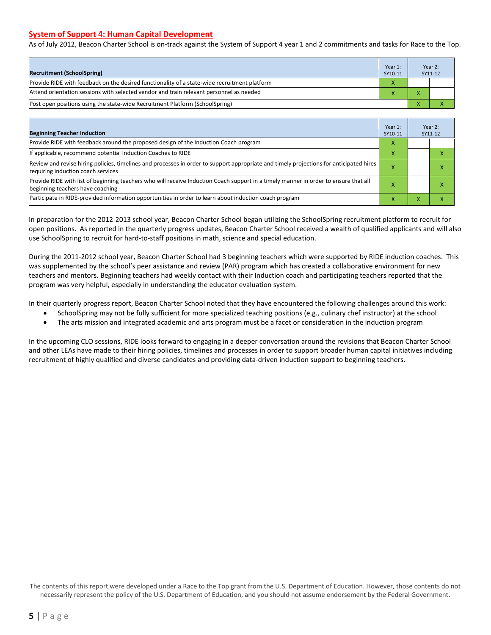#### **System of Support 4: Human Capital Development**

As of July 2012, Beacon Charter School is on-track against the System of Support 4 year 1 and 2 commitments and tasks for Race to the Top.

| <b>Recruitment (SchoolSpring)</b>                                                            | Year 1:<br>SY10-11 |        | Year 2:<br>SY11-12 |
|----------------------------------------------------------------------------------------------|--------------------|--------|--------------------|
| Provide RIDE with feedback on the desired functionality of a state-wide recruitment platform | x                  |        |                    |
| Attend orientation sessions with selected vendor and train relevant personnel as needed      |                    |        |                    |
| (Post open positions using the state-wide Recruitment Platform (SchoolSpring)                |                    | $\sim$ |                    |

| <b>Beginning Teacher Induction</b>                                                                                                                                            |   |   | Year 2:<br>SY11-12 |
|-------------------------------------------------------------------------------------------------------------------------------------------------------------------------------|---|---|--------------------|
| Provide RIDE with feedback around the proposed design of the Induction Coach program                                                                                          | X |   |                    |
| If applicable, recommend potential Induction Coaches to RIDE                                                                                                                  | X |   |                    |
| Review and revise hiring policies, timelines and processes in order to support appropriate and timely projections for anticipated hires<br>requiring induction coach services | х |   | ⋏                  |
| Provide RIDE with list of beginning teachers who will receive Induction Coach support in a timely manner in order to ensure that all<br>beginning teachers have coaching      |   |   | л                  |
| Participate in RIDE-provided information opportunities in order to learn about induction coach program                                                                        | v | ⋏ |                    |

In preparation for the 2012-2013 school year, Beacon Charter School began utilizing the SchoolSpring recruitment platform to recruit for open positions. As reported in the quarterly progress updates, Beacon Charter School received a wealth of qualified applicants and will also use SchoolSpring to recruit for hard-to-staff positions in math, science and special education.

During the 2011-2012 school year, Beacon Charter School had 3 beginning teachers which were supported by RIDE induction coaches. This was supplemented by the school's peer assistance and review (PAR) program which has created a collaborative environment for new teachers and mentors. Beginning teachers had weekly contact with their Induction coach and participating teachers reported that the program was very helpful, especially in understanding the educator evaluation system.

In their quarterly progress report, Beacon Charter School noted that they have encountered the following challenges around this work:

- SchoolSpring may not be fully sufficient for more specialized teaching positions (e.g., culinary chef instructor) at the school
- The arts mission and integrated academic and arts program must be a facet or consideration in the induction program

In the upcoming CLO sessions, RIDE looks forward to engaging in a deeper conversation around the revisions that Beacon Charter School and other LEAs have made to their hiring policies, timelines and processes in order to support broader human capital initiatives including recruitment of highly qualified and diverse candidates and providing data-driven induction support to beginning teachers.

The contents of this report were developed under a Race to the Top grant from the U.S. Department of Education. However, those contents do not necessarily represent the policy of the U.S. Department of Education, and you should not assume endorsement by the Federal Government.